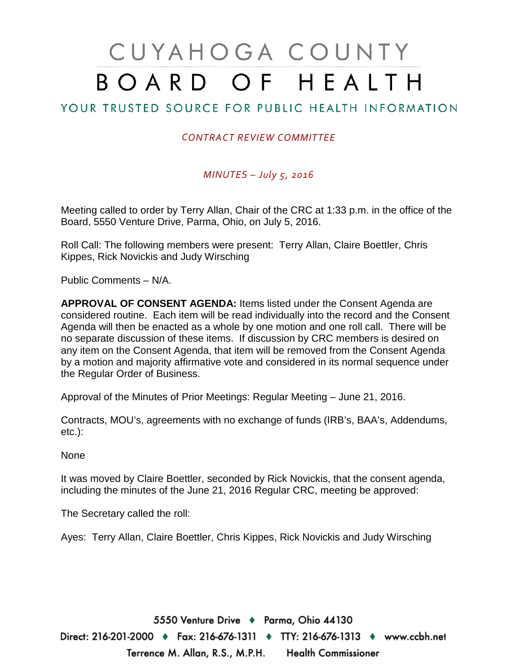# CUYAHOGA COUNTY BOARD OF HEALTH

#### YOUR TRUSTED SOURCE FOR PUBLIC HEALTH INFORMATION

#### *CONTRACT REVIEW COMMITTEE*

#### *MINUTES – July 5, 2016*

Meeting called to order by Terry Allan, Chair of the CRC at 1:33 p.m. in the office of the Board, 5550 Venture Drive, Parma, Ohio, on July 5, 2016.

Roll Call: The following members were present: Terry Allan, Claire Boettler, Chris Kippes, Rick Novickis and Judy Wirsching

Public Comments – N/A.

**APPROVAL OF CONSENT AGENDA:** Items listed under the Consent Agenda are considered routine. Each item will be read individually into the record and the Consent Agenda will then be enacted as a whole by one motion and one roll call. There will be no separate discussion of these items. If discussion by CRC members is desired on any item on the Consent Agenda, that item will be removed from the Consent Agenda by a motion and majority affirmative vote and considered in its normal sequence under the Regular Order of Business.

Approval of the Minutes of Prior Meetings: Regular Meeting – June 21, 2016.

Contracts, MOU's, agreements with no exchange of funds (IRB's, BAA's, Addendums, etc.):

None

It was moved by Claire Boettler, seconded by Rick Novickis, that the consent agenda, including the minutes of the June 21, 2016 Regular CRC, meeting be approved:

The Secretary called the roll:

Ayes: Terry Allan, Claire Boettler, Chris Kippes, Rick Novickis and Judy Wirsching

5550 Venture Drive + Parma, Ohio 44130 Direct: 216-201-2000 ♦ Fax: 216-676-1311 ♦ TTY: 216-676-1313 ♦ www.ccbh.net Terrence M. Allan, R.S., M.P.H. Health Commissioner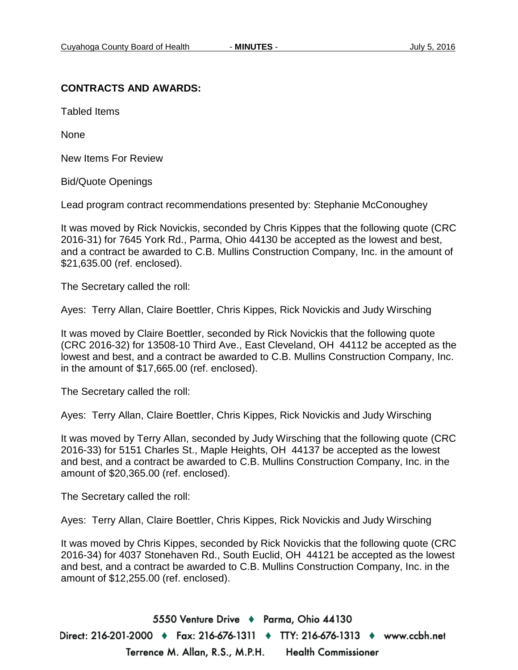#### **CONTRACTS AND AWARDS:**

Tabled Items

None

New Items For Review

Bid/Quote Openings

Lead program contract recommendations presented by: Stephanie McConoughey

It was moved by Rick Novickis, seconded by Chris Kippes that the following quote (CRC 2016-31) for 7645 York Rd., Parma, Ohio 44130 be accepted as the lowest and best, and a contract be awarded to C.B. Mullins Construction Company, Inc. in the amount of \$21,635.00 (ref. enclosed).

The Secretary called the roll:

Ayes: Terry Allan, Claire Boettler, Chris Kippes, Rick Novickis and Judy Wirsching

It was moved by Claire Boettler, seconded by Rick Novickis that the following quote (CRC 2016-32) for 13508-10 Third Ave., East Cleveland, OH 44112 be accepted as the lowest and best, and a contract be awarded to C.B. Mullins Construction Company, Inc. in the amount of \$17,665.00 (ref. enclosed).

The Secretary called the roll:

Ayes: Terry Allan, Claire Boettler, Chris Kippes, Rick Novickis and Judy Wirsching

It was moved by Terry Allan, seconded by Judy Wirsching that the following quote (CRC 2016-33) for 5151 Charles St., Maple Heights, OH 44137 be accepted as the lowest and best, and a contract be awarded to C.B. Mullins Construction Company, Inc. in the amount of \$20,365.00 (ref. enclosed).

The Secretary called the roll:

Ayes: Terry Allan, Claire Boettler, Chris Kippes, Rick Novickis and Judy Wirsching

It was moved by Chris Kippes, seconded by Rick Novickis that the following quote (CRC 2016-34) for 4037 Stonehaven Rd., South Euclid, OH 44121 be accepted as the lowest and best, and a contract be awarded to C.B. Mullins Construction Company, Inc. in the amount of \$12,255.00 (ref. enclosed).

5550 Venture Drive + Parma, Ohio 44130 Direct: 216-201-2000 ♦ Fax: 216-676-1311 ♦ TTY: 216-676-1313 ♦ www.ccbh.net Terrence M. Allan, R.S., M.P.H. **Health Commissioner**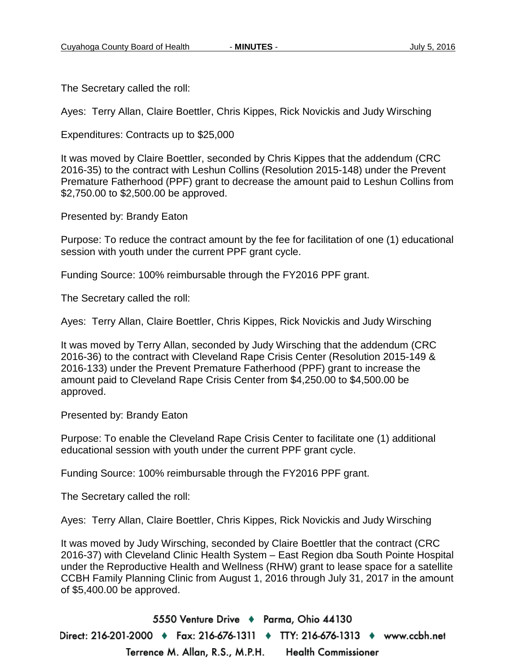The Secretary called the roll:

Ayes: Terry Allan, Claire Boettler, Chris Kippes, Rick Novickis and Judy Wirsching

Expenditures: Contracts up to \$25,000

It was moved by Claire Boettler, seconded by Chris Kippes that the addendum (CRC 2016-35) to the contract with Leshun Collins (Resolution 2015-148) under the Prevent Premature Fatherhood (PPF) grant to decrease the amount paid to Leshun Collins from \$2,750.00 to \$2,500.00 be approved.

Presented by: Brandy Eaton

Purpose: To reduce the contract amount by the fee for facilitation of one (1) educational session with youth under the current PPF grant cycle.

Funding Source: 100% reimbursable through the FY2016 PPF grant.

The Secretary called the roll:

Ayes: Terry Allan, Claire Boettler, Chris Kippes, Rick Novickis and Judy Wirsching

It was moved by Terry Allan, seconded by Judy Wirsching that the addendum (CRC 2016-36) to the contract with Cleveland Rape Crisis Center (Resolution 2015-149 & 2016-133) under the Prevent Premature Fatherhood (PPF) grant to increase the amount paid to Cleveland Rape Crisis Center from \$4,250.00 to \$4,500.00 be approved.

Presented by: Brandy Eaton

Purpose: To enable the Cleveland Rape Crisis Center to facilitate one (1) additional educational session with youth under the current PPF grant cycle.

Funding Source: 100% reimbursable through the FY2016 PPF grant.

The Secretary called the roll:

Ayes: Terry Allan, Claire Boettler, Chris Kippes, Rick Novickis and Judy Wirsching

It was moved by Judy Wirsching, seconded by Claire Boettler that the contract (CRC 2016-37) with Cleveland Clinic Health System – East Region dba South Pointe Hospital under the Reproductive Health and Wellness (RHW) grant to lease space for a satellite CCBH Family Planning Clinic from August 1, 2016 through July 31, 2017 in the amount of \$5,400.00 be approved.

5550 Venture Drive + Parma, Ohio 44130 Direct: 216-201-2000 ♦ Fax: 216-676-1311 ♦ TTY: 216-676-1313 ♦ www.ccbh.net Terrence M. Allan, R.S., M.P.H. **Health Commissioner**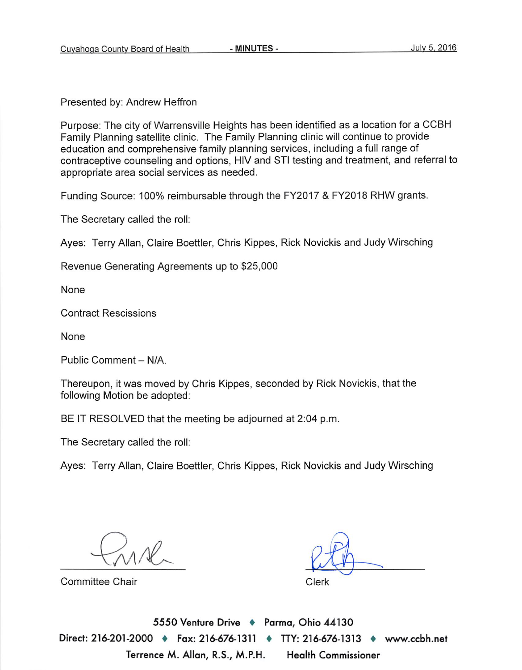Presented by: Andrew Heffron

Purpose: The city of Warrensville Heights has been identified as a location for a CCBH Family Planning satellite clinic. The Family Planning clinic will continue to provide education and comprehensive family planning services, including a full range of contraceptive counseling and options, HIV and STI testing and treatment, and referral to appropriate area social services as needed.

Funding Source: 100% reimbursable through the FY2017 & FY2018 RHW grants.

The Secretary called the roll:

Ayes: Terry Allan, Claire Boettler, Chris Kippes, Rick Novickis and Judy Wirsching

Revenue Generating Agreements up to \$25,000

None

**Contract Rescissions** 

None

Public Comment - N/A

Thereupon, it was moved by Chris Kippes, seconded by Rick Novickis, that the following Motion be adopted:

BE IT RESOLVED that the meeting be adjourned at 2:04 p.m.

The Secretary called the roll:

Ayes: Terry Allan, Claire Boettler, Chris Kippes, Rick Novickis and Judy Wirsching

Committee Chair

Clerk

5550 Venture Drive + Parma, Ohio 44130 Direct: 216-201-2000 ♦ Fax: 216-676-1311 ♦ TTY: 216-676-1313 ♦ www.ccbh.net Terrence M. Allan, R.S., M.P.H. **Health Commissioner**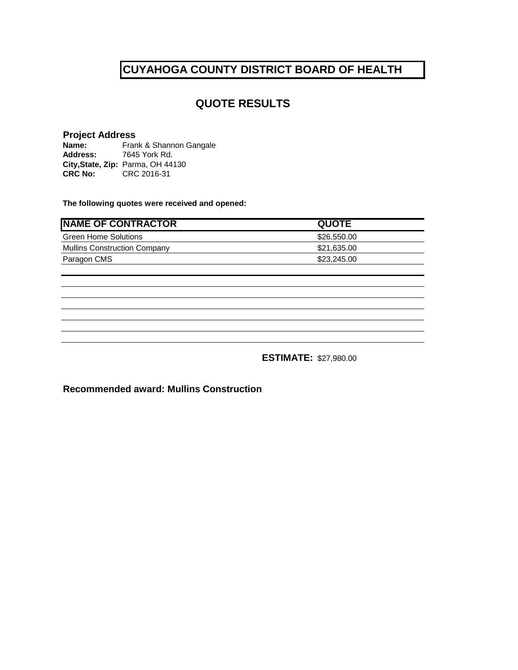#### **QUOTE RESULTS**

#### **Project Address**

Name: Frank & Shannon Gangale **Address:** 7645 York Rd. **City,State, Zip:** Parma, OH 44130 **CRC No:** CRC 2016-31

**The following quotes were received and opened:**

| <b>NAME OF CONTRACTOR</b>           | <b>QUOTE</b> |
|-------------------------------------|--------------|
| <b>Green Home Solutions</b>         | \$26,550.00  |
| <b>Mullins Construction Company</b> | \$21,635.00  |
| Paragon CMS                         | \$23,245.00  |

**ESTIMATE:** \$27,980.00

**Recommended award: Mullins Construction**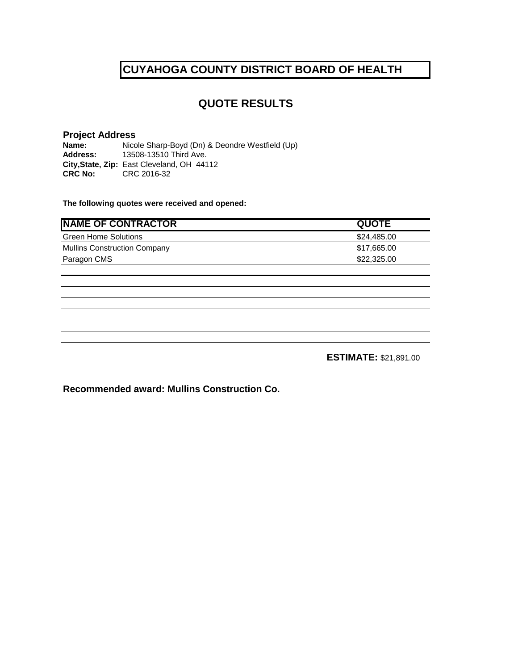#### **QUOTE RESULTS**

# **Project Address**

**Name:** Nicole Sharp-Boyd (Dn) & Deondre Westfield (Up) **Address:** 13508-13510 Third Ave. **Address:** 13508-13510 Third Ave. **City,State, Zip:** East Cleveland, OH 44112 **CRC No:** CRC 2016-32

**The following quotes were received and opened:**

| <b>QUOTE</b> |
|--------------|
| \$24,485,00  |
| \$17,665.00  |
| \$22,325,00  |
|              |

**ESTIMATE:** \$21,891.00

**Recommended award: Mullins Construction Co.**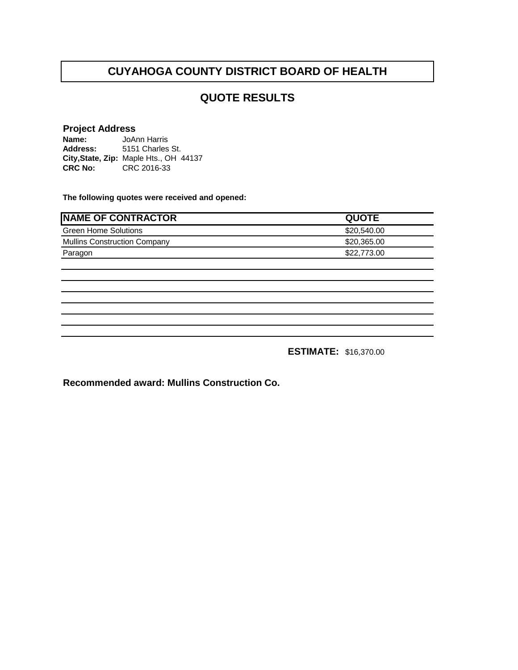#### **QUOTE RESULTS**

#### **Project Address**

**Name: Address: City,State, Zip:** Maple Hts., OH 44137 **CRC No:** CRC 2016-33 JoAnn Harris 5151 Charles St.

**The following quotes were received and opened:**

| <b>NAME OF CONTRACTOR</b>           | <b>QUOTE</b> |
|-------------------------------------|--------------|
| <b>Green Home Solutions</b>         | \$20,540.00  |
| <b>Mullins Construction Company</b> | \$20,365.00  |
| Paragon                             | \$22,773.00  |
|                                     |              |
|                                     |              |
|                                     |              |
|                                     |              |
|                                     |              |
|                                     |              |
|                                     |              |

**ESTIMATE:** \$16,370.00

**Recommended award: Mullins Construction Co.**